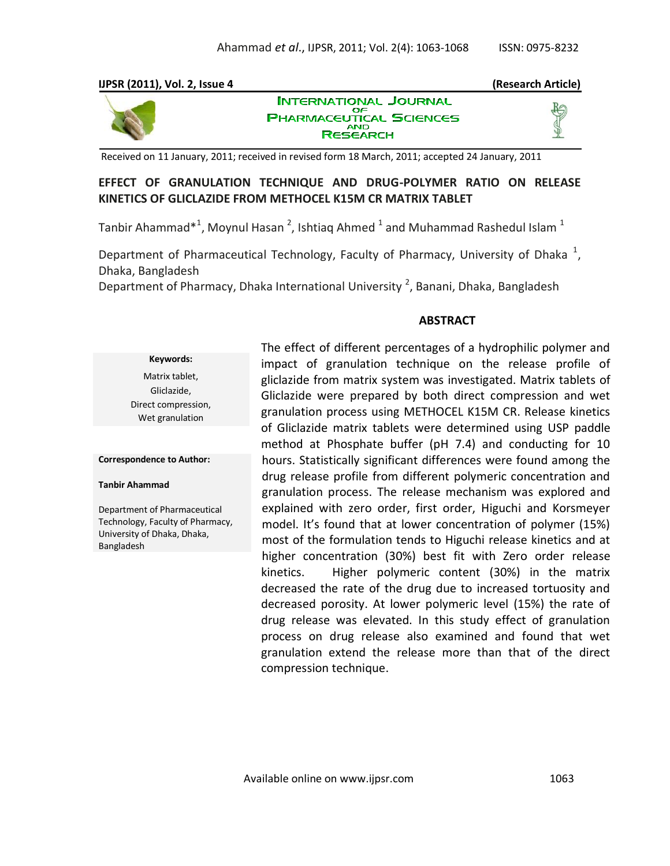# **IJPSR (2011), Vol. 2, Issue 4 (Research Article)**



**INTERNATIONAL JOURNAL** OΕ **PHARMACEUTICAL SCIENCES AND RESEARCH** 

Received on 11 January, 2011; received in revised form 18 March, 2011; accepted 24 January, 2011

# **EFFECT OF GRANULATION TECHNIQUE AND DRUG-POLYMER RATIO ON RELEASE KINETICS OF GLICLAZIDE FROM METHOCEL K15M CR MATRIX TABLET**

Tanbir Ahammad $^{*1}$ , Moynul Hasan <sup>2</sup>, Ishtiaq Ahmed  $^{1}$  and Muhammad Rashedul Islam  $^{1}$ 

Department of Pharmaceutical Technology, Faculty of Pharmacy, University of Dhaka<sup>1</sup>, Dhaka, Bangladesh

Department of Pharmacy, Dhaka International University<sup>2</sup>, Banani, Dhaka, Bangladesh

## **ABSTRACT**

**Keywords:** Matrix tablet, Gliclazide, Direct compression, Wet granulation

#### **Correspondence to Author:**

#### **Tanbir Ahammad**

Department of Pharmaceutical Technology, Faculty of Pharmacy, University of Dhaka, Dhaka, Bangladesh

The effect of different percentages of a hydrophilic polymer and impact of granulation technique on the release profile of gliclazide from matrix system was investigated. Matrix tablets of Gliclazide were prepared by both direct compression and wet granulation process using METHOCEL K15M CR. Release kinetics of Gliclazide matrix tablets were determined using USP paddle method at Phosphate buffer (pH 7.4) and conducting for 10 hours. Statistically significant differences were found among the drug release profile from different polymeric concentration and granulation process. The release mechanism was explored and explained with zero order, first order, Higuchi and Korsmeyer model. It's found that at lower concentration of polymer (15%) most of the formulation tends to Higuchi release kinetics and at higher concentration (30%) best fit with Zero order release kinetics. Higher polymeric content (30%) in the matrix decreased the rate of the drug due to increased tortuosity and decreased porosity. At lower polymeric level (15%) the rate of drug release was elevated. In this study effect of granulation process on drug release also examined and found that wet granulation extend the release more than that of the direct compression technique.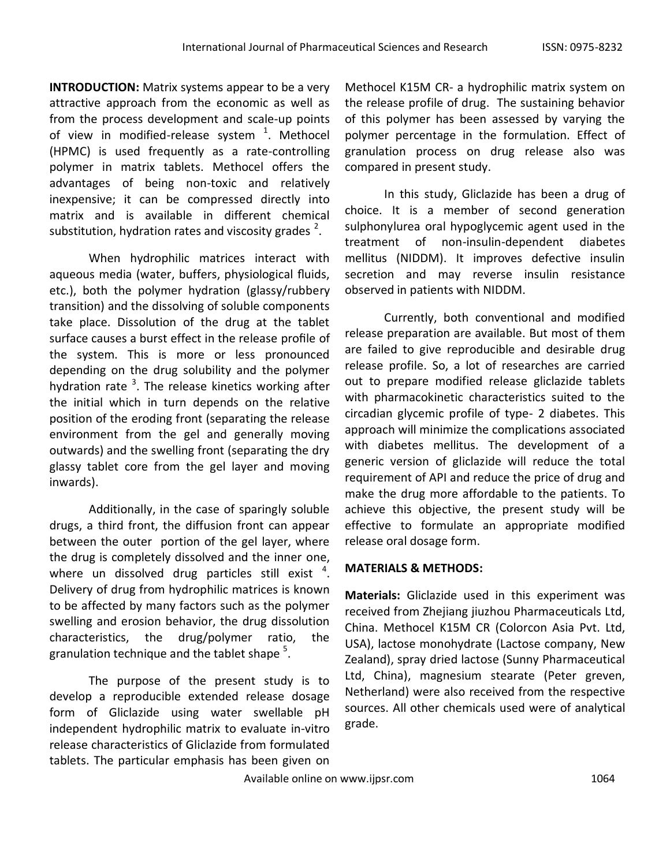**INTRODUCTION:** Matrix systems appear to be a very attractive approach from the economic as well as from the process development and scale-up points of view in modified-release system  $1$ . Methocel (HPMC) is used frequently as a rate-controlling polymer in matrix tablets. Methocel offers the advantages of being non-toxic and relatively inexpensive; it can be compressed directly into matrix and is available in different chemical substitution, hydration rates and viscosity grades  $^2$ .

When hydrophilic matrices interact with aqueous media (water, buffers, physiological fluids, etc.), both the polymer hydration (glassy/rubbery transition) and the dissolving of soluble components take place. Dissolution of the drug at the tablet surface causes a burst effect in the release profile of the system. This is more or less pronounced depending on the drug solubility and the polymer hydration rate <sup>3</sup>. The release kinetics working after the initial which in turn depends on the relative position of the eroding front (separating the release environment from the gel and generally moving outwards) and the swelling front (separating the dry glassy tablet core from the gel layer and moving inwards).

Additionally, in the case of sparingly soluble drugs, a third front, the diffusion front can appear between the outer portion of the gel layer, where the drug is completely dissolved and the inner one, where un dissolved drug particles still exist  $4$ . Delivery of drug from hydrophilic matrices is known to be affected by many factors such as the polymer swelling and erosion behavior, the drug dissolution characteristics, the drug/polymer ratio, the granulation technique and the tablet shape  $^5$ .

The purpose of the present study is to develop a reproducible extended release dosage form of Gliclazide using water swellable pH independent hydrophilic matrix to evaluate in-vitro release characteristics of Gliclazide from formulated tablets. The particular emphasis has been given on

Methocel K15M CR- a hydrophilic matrix system on the release profile of drug. The sustaining behavior of this polymer has been assessed by varying the polymer percentage in the formulation. Effect of granulation process on drug release also was compared in present study.

In this study, Gliclazide has been a drug of choice. It is a member of second generation sulphonylurea oral hypoglycemic agent used in the treatment of non-insulin-dependent diabetes mellitus (NIDDM). It improves defective insulin secretion and may reverse insulin resistance observed in patients with NIDDM.

Currently, both conventional and modified release preparation are available. But most of them are failed to give reproducible and desirable drug release profile. So, a lot of researches are carried out to prepare modified release gliclazide tablets with pharmacokinetic characteristics suited to the circadian glycemic profile of type- 2 diabetes. This approach will minimize the complications associated with diabetes mellitus. The development of a generic version of gliclazide will reduce the total requirement of API and reduce the price of drug and make the drug more affordable to the patients. To achieve this objective, the present study will be effective to formulate an appropriate modified release oral dosage form.

### **MATERIALS & METHODS:**

**Materials:** Gliclazide used in this experiment was received from Zhejiang jiuzhou Pharmaceuticals Ltd, China. Methocel K15M CR (Colorcon Asia Pvt. Ltd, USA), lactose monohydrate (Lactose company, New Zealand), spray dried lactose (Sunny Pharmaceutical Ltd, China), magnesium stearate (Peter greven, Netherland) were also received from the respective sources. All other chemicals used were of analytical grade.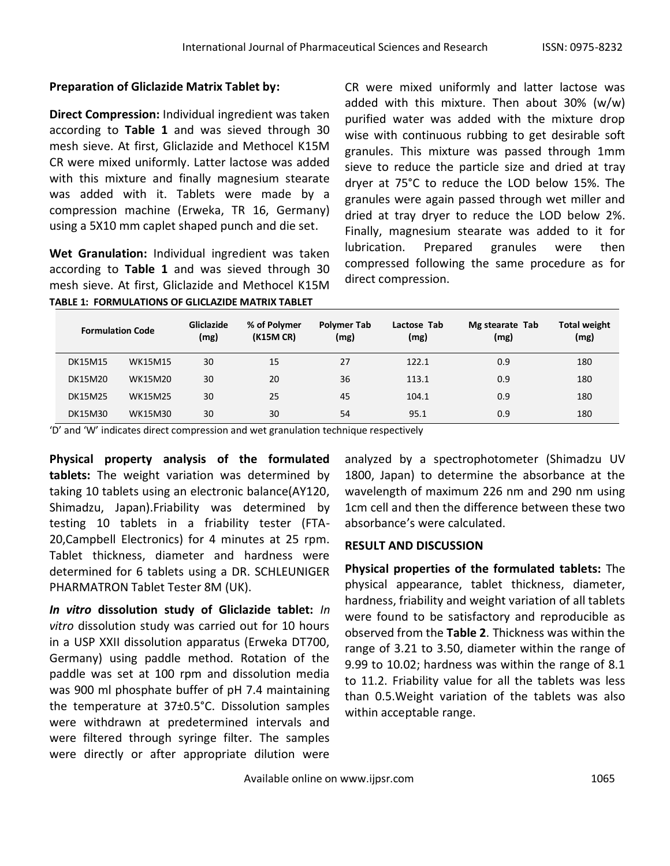## **Preparation of Gliclazide Matrix Tablet by:**

**Direct Compression:** Individual ingredient was taken according to **Table 1** and was sieved through 30 mesh sieve. At first, Gliclazide and Methocel K15M CR were mixed uniformly. Latter lactose was added with this mixture and finally magnesium stearate was added with it. Tablets were made by a compression machine (Erweka, TR 16, Germany) using a 5X10 mm caplet shaped punch and die set.

**Wet Granulation:** Individual ingredient was taken according to **Table 1** and was sieved through 30 mesh sieve. At first, Gliclazide and Methocel K15M **TABLE 1: FORMULATIONS OF GLICLAZIDE MATRIX TABLET**

CR were mixed uniformly and latter lactose was added with this mixture. Then about 30% (w/w) purified water was added with the mixture drop wise with continuous rubbing to get desirable soft granules. This mixture was passed through 1mm sieve to reduce the particle size and dried at tray dryer at 75°C to reduce the LOD below 15%. The granules were again passed through wet miller and dried at tray dryer to reduce the LOD below 2%. Finally, magnesium stearate was added to it for lubrication. Prepared granules were then compressed following the same procedure as for direct compression.

| <b>Formulation Code</b> |                | Gliclazide<br>(mg) | % of Polymer<br><b>Polymer Tab</b><br>(mg)<br>(K15M CR) |    | Lactose Tab<br>(mg) | Mg stearate Tab<br>(mg) | <b>Total weight</b><br>(mg) |  |
|-------------------------|----------------|--------------------|---------------------------------------------------------|----|---------------------|-------------------------|-----------------------------|--|
| <b>DK15M15</b>          | <b>WK15M15</b> | 30                 | 15                                                      | 27 | 122.1               | 0.9                     | 180                         |  |
| DK15M20                 | <b>WK15M20</b> | 30                 | 20                                                      | 36 | 113.1               | 0.9                     | 180                         |  |
| <b>DK15M25</b>          | <b>WK15M25</b> | 30                 | 25                                                      | 45 | 104.1               | 0.9                     | 180                         |  |
| DK15M30                 | WK15M30        | 30                 | 30                                                      | 54 | 95.1                | 0.9                     | 180                         |  |

'D' and 'W' indicates direct compression and wet granulation technique respectively

**Physical property analysis of the formulated tablets:** The weight variation was determined by taking 10 tablets using an electronic balance(AY120, Shimadzu, Japan).Friability was determined by testing 10 tablets in a friability tester (FTA-20,Campbell Electronics) for 4 minutes at 25 rpm. Tablet thickness, diameter and hardness were determined for 6 tablets using a DR. SCHLEUNIGER PHARMATRON Tablet Tester 8M (UK).

*In vitro* **dissolution study of Gliclazide tablet:** *In vitro* dissolution study was carried out for 10 hours in a USP XXII dissolution apparatus (Erweka DT700, Germany) using paddle method. Rotation of the paddle was set at 100 rpm and dissolution media was 900 ml phosphate buffer of pH 7.4 maintaining the temperature at 37±0.5°C. Dissolution samples were withdrawn at predetermined intervals and were filtered through syringe filter. The samples were directly or after appropriate dilution were

analyzed by a spectrophotometer (Shimadzu UV 1800, Japan) to determine the absorbance at the wavelength of maximum 226 nm and 290 nm using 1cm cell and then the difference between these two absorbance's were calculated.

## **RESULT AND DISCUSSION**

**Physical properties of the formulated tablets:** The physical appearance, tablet thickness, diameter, hardness, friability and weight variation of all tablets were found to be satisfactory and reproducible as observed from the **Table 2**. Thickness was within the range of 3.21 to 3.50, diameter within the range of 9.99 to 10.02; hardness was within the range of 8.1 to 11.2. Friability value for all the tablets was less than 0.5.Weight variation of the tablets was also within acceptable range.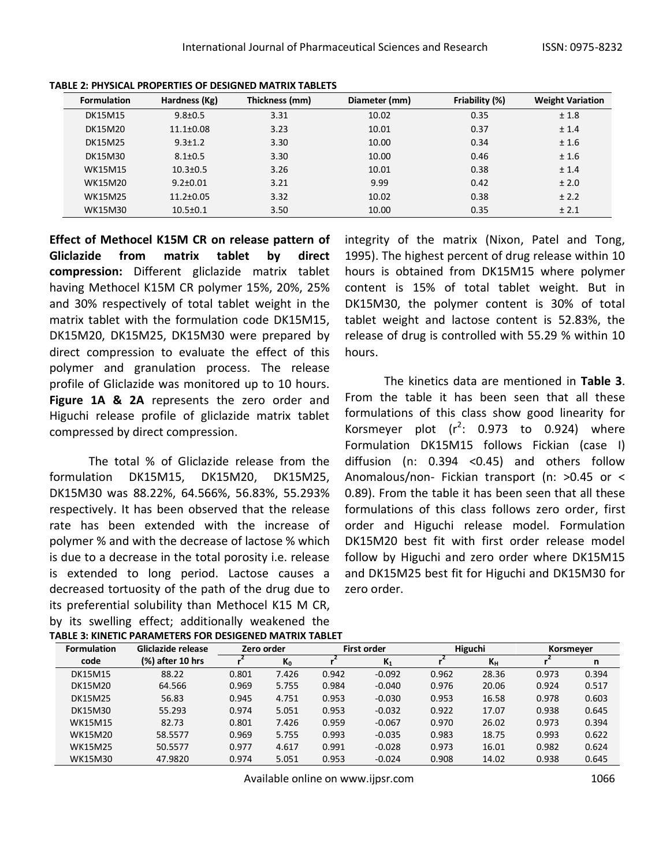| <b>Formulation</b> | Hardness (Kg)   | Thickness (mm) | Diameter (mm) | Friability (%) | <b>Weight Variation</b> |
|--------------------|-----------------|----------------|---------------|----------------|-------------------------|
| <b>DK15M15</b>     | $9.8 \pm 0.5$   | 3.31           | 10.02         | 0.35           | ±1.8                    |
| DK15M20            | $11.1 \pm 0.08$ | 3.23           | 10.01         | 0.37           | ± 1.4                   |
| <b>DK15M25</b>     | $9.3 \pm 1.2$   | 3.30           | 10.00         | 0.34           | ±1.6                    |
| DK15M30            | $8.1 \pm 0.5$   | 3.30           | 10.00         | 0.46           | ±1.6                    |
| <b>WK15M15</b>     | $10.3 \pm 0.5$  | 3.26           | 10.01         | 0.38           | ± 1.4                   |
| WK15M20            | $9.2 \pm 0.01$  | 3.21           | 9.99          | 0.42           | ± 2.0                   |
| <b>WK15M25</b>     | $11.2 \pm 0.05$ | 3.32           | 10.02         | 0.38           | ± 2.2                   |
| <b>WK15M30</b>     | $10.5 \pm 0.1$  | 3.50           | 10.00         | 0.35           | ± 2.1                   |

**TABLE 2: PHYSICAL PROPERTIES OF DESIGNED MATRIX TABLETS**

**Effect of Methocel K15M CR on release pattern of Gliclazide from matrix tablet by direct compression:** Different gliclazide matrix tablet having Methocel K15M CR polymer 15%, 20%, 25% and 30% respectively of total tablet weight in the matrix tablet with the formulation code DK15M15, DK15M20, DK15M25, DK15M30 were prepared by direct compression to evaluate the effect of this polymer and granulation process. The release profile of Gliclazide was monitored up to 10 hours. **Figure 1A & 2A** represents the zero order and Higuchi release profile of gliclazide matrix tablet compressed by direct compression.

The total % of Gliclazide release from the formulation DK15M15, DK15M20, DK15M25, DK15M30 was 88.22%, 64.566%, 56.83%, 55.293% respectively. It has been observed that the release rate has been extended with the increase of polymer % and with the decrease of lactose % which is due to a decrease in the total porosity i.e. release is extended to long period. Lactose causes a decreased tortuosity of the path of the drug due to its preferential solubility than Methocel K15 M CR, by its swelling effect; additionally weakened the **TABLE 3: KINETIC PARAMETERS FOR DESIGENED MATRIX TABLET**

integrity of the matrix (Nixon, Patel and Tong, 1995). The highest percent of drug release within 10 hours is obtained from DK15M15 where polymer content is 15% of total tablet weight. But in DK15M30, the polymer content is 30% of total tablet weight and lactose content is 52.83%, the release of drug is controlled with 55.29 % within 10 hours.

The kinetics data are mentioned in **Table 3**. From the table it has been seen that all these formulations of this class show good linearity for Korsmeyer plot  $(r^2: 0.973$  to 0.924) where Formulation DK15M15 follows Fickian (case I) diffusion (n: 0.394 <0.45) and others follow Anomalous/non- Fickian transport (n: >0.45 or < 0.89). From the table it has been seen that all these formulations of this class follows zero order, first order and Higuchi release model. Formulation DK15M20 best fit with first order release model follow by Higuchi and zero order where DK15M15 and DK15M25 best fit for Higuchi and DK15M30 for zero order.

| <b>Formulation</b> | Gliclazide release |       | Zero order |       | <b>First order</b> |       | Higuchi |       | Korsmeyer |  |
|--------------------|--------------------|-------|------------|-------|--------------------|-------|---------|-------|-----------|--|
| code               | (%) after 10 hrs   |       | $K_0$      |       | $K_1$              |       | $K_{H}$ |       | n         |  |
| <b>DK15M15</b>     | 88.22              | 0.801 | 7.426      | 0.942 | $-0.092$           | 0.962 | 28.36   | 0.973 | 0.394     |  |
| DK15M20            | 64.566             | 0.969 | 5.755      | 0.984 | $-0.040$           | 0.976 | 20.06   | 0.924 | 0.517     |  |
| <b>DK15M25</b>     | 56.83              | 0.945 | 4.751      | 0.953 | $-0.030$           | 0.953 | 16.58   | 0.978 | 0.603     |  |
| DK15M30            | 55.293             | 0.974 | 5.051      | 0.953 | $-0.032$           | 0.922 | 17.07   | 0.938 | 0.645     |  |
| <b>WK15M15</b>     | 82.73              | 0.801 | 7.426      | 0.959 | $-0.067$           | 0.970 | 26.02   | 0.973 | 0.394     |  |
| WK15M20            | 58.5577            | 0.969 | 5.755      | 0.993 | $-0.035$           | 0.983 | 18.75   | 0.993 | 0.622     |  |
| <b>WK15M25</b>     | 50.5577            | 0.977 | 4.617      | 0.991 | $-0.028$           | 0.973 | 16.01   | 0.982 | 0.624     |  |
| <b>WK15M30</b>     | 47.9820            | 0.974 | 5.051      | 0.953 | $-0.024$           | 0.908 | 14.02   | 0.938 | 0.645     |  |

Available online on www.ijpsr.com 1066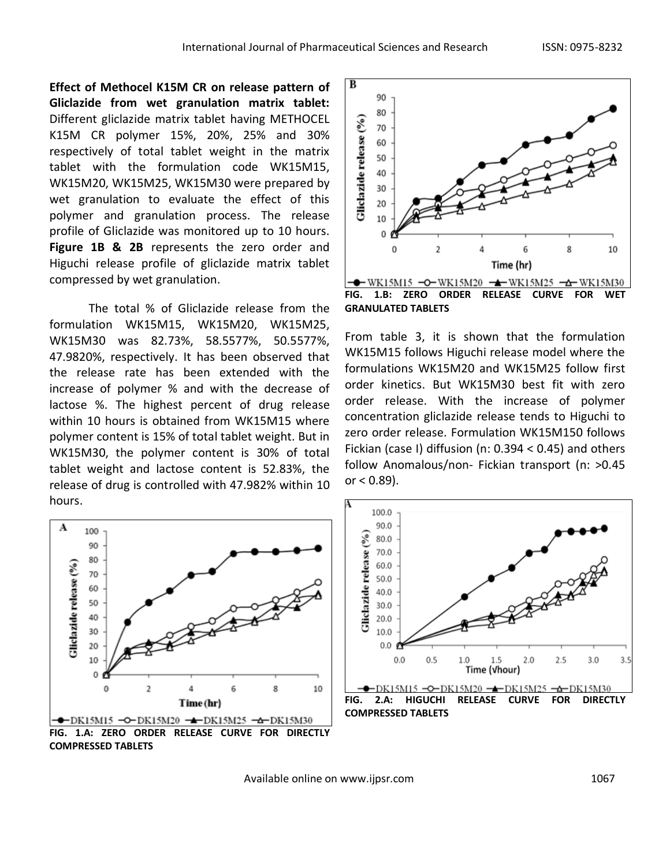**Effect of Methocel K15M CR on release pattern of Gliclazide from wet granulation matrix tablet:**  Different gliclazide matrix tablet having METHOCEL K15M CR polymer 15%, 20%, 25% and 30% respectively of total tablet weight in the matrix tablet with the formulation code WK15M15, WK15M20, WK15M25, WK15M30 were prepared by wet granulation to evaluate the effect of this polymer and granulation process. The release profile of Gliclazide was monitored up to 10 hours. **Figure 1B & 2B** represents the zero order and Higuchi release profile of gliclazide matrix tablet compressed by wet granulation.

The total % of Gliclazide release from the formulation WK15M15, WK15M20, WK15M25, WK15M30 was 82.73%, 58.5577%, 50.5577%, 47.9820%, respectively. It has been observed that the release rate has been extended with the increase of polymer % and with the decrease of lactose %. The highest percent of drug release within 10 hours is obtained from WK15M15 where polymer content is 15% of total tablet weight. But in WK15M30, the polymer content is 30% of total tablet weight and lactose content is 52.83%, the release of drug is controlled with 47.982% within 10 hours.



From table 3, it is shown that the formulation WK15M15 follows Higuchi release model where the formulations WK15M20 and WK15M25 follow first order kinetics. But WK15M30 best fit with zero order release. With the increase of polymer concentration gliclazide release tends to Higuchi to zero order release. Formulation WK15M150 follows Fickian (case I) diffusion (n: 0.394 < 0.45) and others follow Anomalous/non- Fickian transport (n: >0.45 or  $< 0.89$ ).